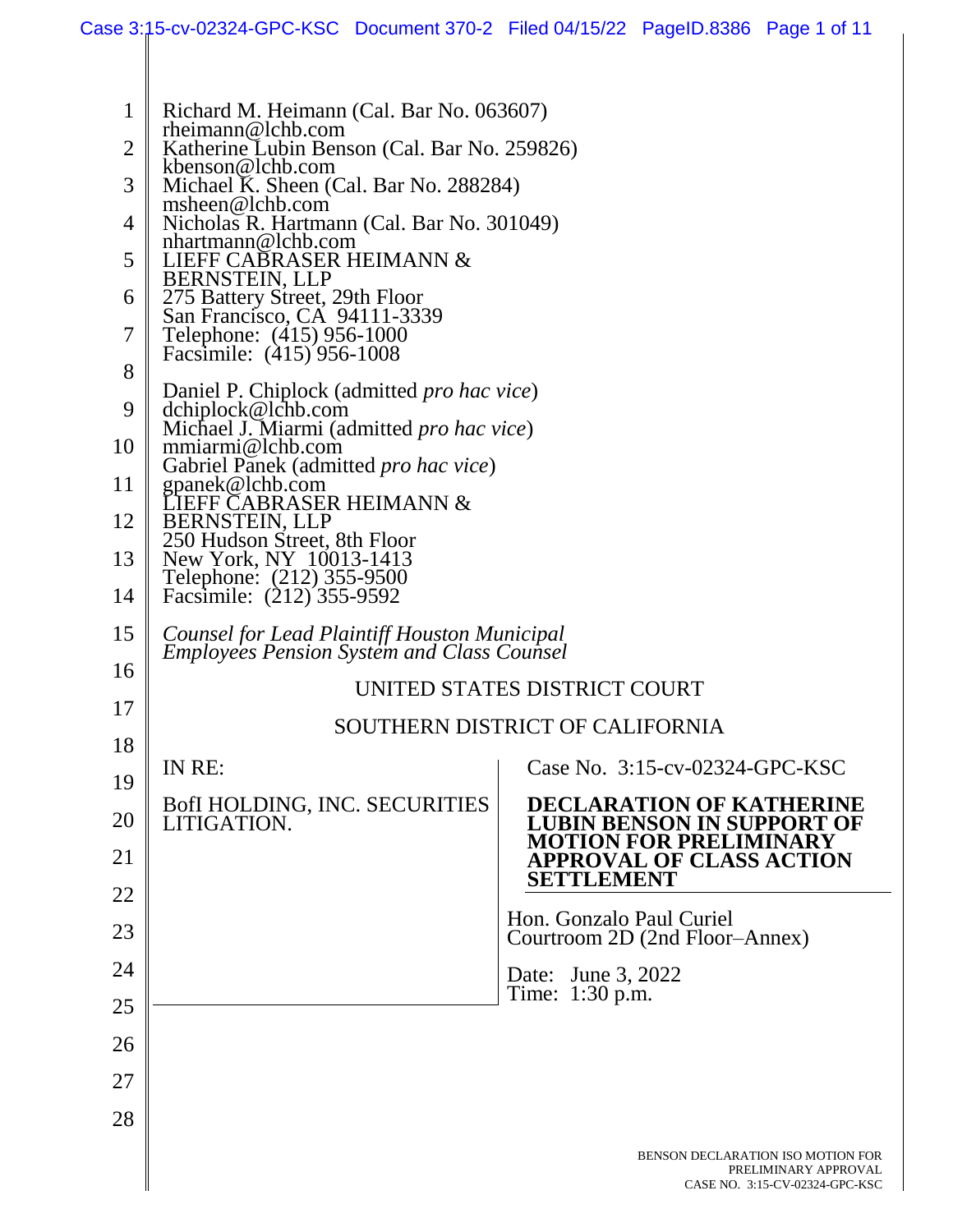| $\mathbf{1}$ | Richard M. Heimann (Cal. Bar No. 063607)<br>$r$ heimann@lchb.com                                  |                                                                                             |  |
|--------------|---------------------------------------------------------------------------------------------------|---------------------------------------------------------------------------------------------|--|
| 2            | Katherine Lubin Benson (Cal. Bar No. 259826)                                                      |                                                                                             |  |
| 3            | kbenson@lchb.com<br>Michael K. Sheen (Cal. Bar No. 288284)                                        |                                                                                             |  |
|              | msheen@lchb.com                                                                                   |                                                                                             |  |
| 4            | Nicholas R. Hartmann (Cal. Bar No. 301049)<br>nhartmann@lchb.com                                  |                                                                                             |  |
| 5            | LIEFF CABRASER HEIMANN &<br>BERNSTEIN, LLP                                                        |                                                                                             |  |
| 6            | 275 Battery Street, 29th Floor<br>San Francisco, CA 94111-3339                                    |                                                                                             |  |
| 7            | Telephone: (415) 956-1000                                                                         |                                                                                             |  |
| 8            | Facsimile: (415) 956-1008                                                                         |                                                                                             |  |
|              | Daniel P. Chiplock (admitted <i>pro hac vice</i> )                                                |                                                                                             |  |
| 9            | dchiplock@lchb.com<br>Michael J. Miarmi (admitted pro hac vice)                                   |                                                                                             |  |
| 10           | mmiarmi@lchb.com<br>Gabriel Panek (admitted <i>pro hac vice</i> )                                 |                                                                                             |  |
| 11           | gpanek@lchb.com<br>IEFF CABRASER HEIMANN &                                                        |                                                                                             |  |
| 12           | <b>BERNSTEIN, LLP</b>                                                                             |                                                                                             |  |
| 13           | 250 Hudson Street, 8th Floor<br>New York, NY 10013-1413                                           |                                                                                             |  |
| 14           | Telephone: (212) 355-9500<br>Facsimile: (212) 355-9592                                            |                                                                                             |  |
|              |                                                                                                   |                                                                                             |  |
| 15<br>16     | Counsel for Lead Plaintiff Houston Municipal<br><b>Employees Pension System and Class Counsel</b> |                                                                                             |  |
| 17           | UNITED STATES DISTRICT COURT                                                                      |                                                                                             |  |
|              | SOUTHERN DISTRICT OF CALIFORNIA                                                                   |                                                                                             |  |
| 18           | IN RE:                                                                                            | Case No. 3:15-cv-02324-GPC-KSC                                                              |  |
| 19           | BofI HOLDING, INC. SECURITIES                                                                     | <b>DECLARATION OF KATHERINE</b>                                                             |  |
| 20           | LITIGATION.                                                                                       | <b>LUBIN BENSON IN SUPPORT OF</b>                                                           |  |
| 21           |                                                                                                   | <b>MOTION FOR PRELIMINARY</b><br><b>APPROVAL OF CLASS ACTION</b>                            |  |
| 22           |                                                                                                   | <b>SETTLEMENT</b>                                                                           |  |
| 23           |                                                                                                   | Hon. Gonzalo Paul Curiel<br>Courtroom 2D (2nd Floor–Annex)                                  |  |
| 24           |                                                                                                   | Date: June 3, 2022                                                                          |  |
| 25           |                                                                                                   | Time: 1:30 p.m.                                                                             |  |
| 26           |                                                                                                   |                                                                                             |  |
| 27           |                                                                                                   |                                                                                             |  |
|              |                                                                                                   |                                                                                             |  |
| 28           |                                                                                                   |                                                                                             |  |
|              |                                                                                                   | BENSON DECLARATION ISO MOTION FOR<br>PRELIMINARY APPROVAL<br>CASE NO. 3:15-CV-02324-GPC-KSC |  |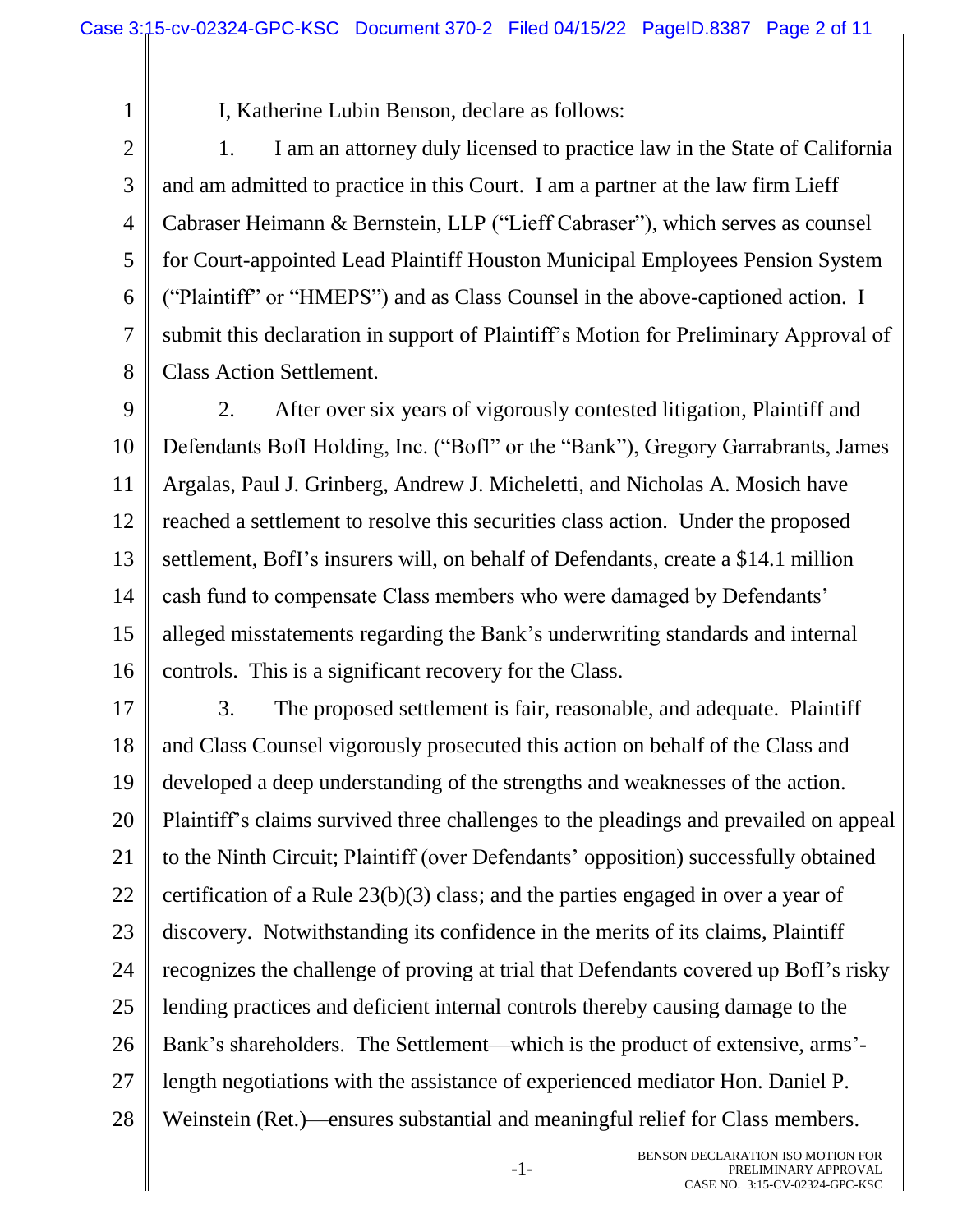1

I, Katherine Lubin Benson, declare as follows:

3 4 5 6 7 8 1. I am an attorney duly licensed to practice law in the State of California and am admitted to practice in this Court. I am a partner at the law firm Lieff Cabraser Heimann & Bernstein, LLP ("Lieff Cabraser"), which serves as counsel for Court-appointed Lead Plaintiff Houston Municipal Employees Pension System ("Plaintiff" or "HMEPS") and as Class Counsel in the above-captioned action. I submit this declaration in support of Plaintiff's Motion for Preliminary Approval of Class Action Settlement.

9 10 11 12 13 14 15 16 2. After over six years of vigorously contested litigation, Plaintiff and Defendants BofI Holding, Inc. ("BofI" or the "Bank"), Gregory Garrabrants, James Argalas, Paul J. Grinberg, Andrew J. Micheletti, and Nicholas A. Mosich have reached a settlement to resolve this securities class action. Under the proposed settlement, BofI's insurers will, on behalf of Defendants, create a \$14.1 million cash fund to compensate Class members who were damaged by Defendants' alleged misstatements regarding the Bank's underwriting standards and internal controls. This is a significant recovery for the Class.

17 18 19 20 21 22 23 24 25 26 27 28 3. The proposed settlement is fair, reasonable, and adequate. Plaintiff and Class Counsel vigorously prosecuted this action on behalf of the Class and developed a deep understanding of the strengths and weaknesses of the action. Plaintiff's claims survived three challenges to the pleadings and prevailed on appeal to the Ninth Circuit; Plaintiff (over Defendants' opposition) successfully obtained certification of a Rule 23(b)(3) class; and the parties engaged in over a year of discovery. Notwithstanding its confidence in the merits of its claims, Plaintiff recognizes the challenge of proving at trial that Defendants covered up BofI's risky lending practices and deficient internal controls thereby causing damage to the Bank's shareholders. The Settlement—which is the product of extensive, arms' length negotiations with the assistance of experienced mediator Hon. Daniel P. Weinstein (Ret.)—ensures substantial and meaningful relief for Class members.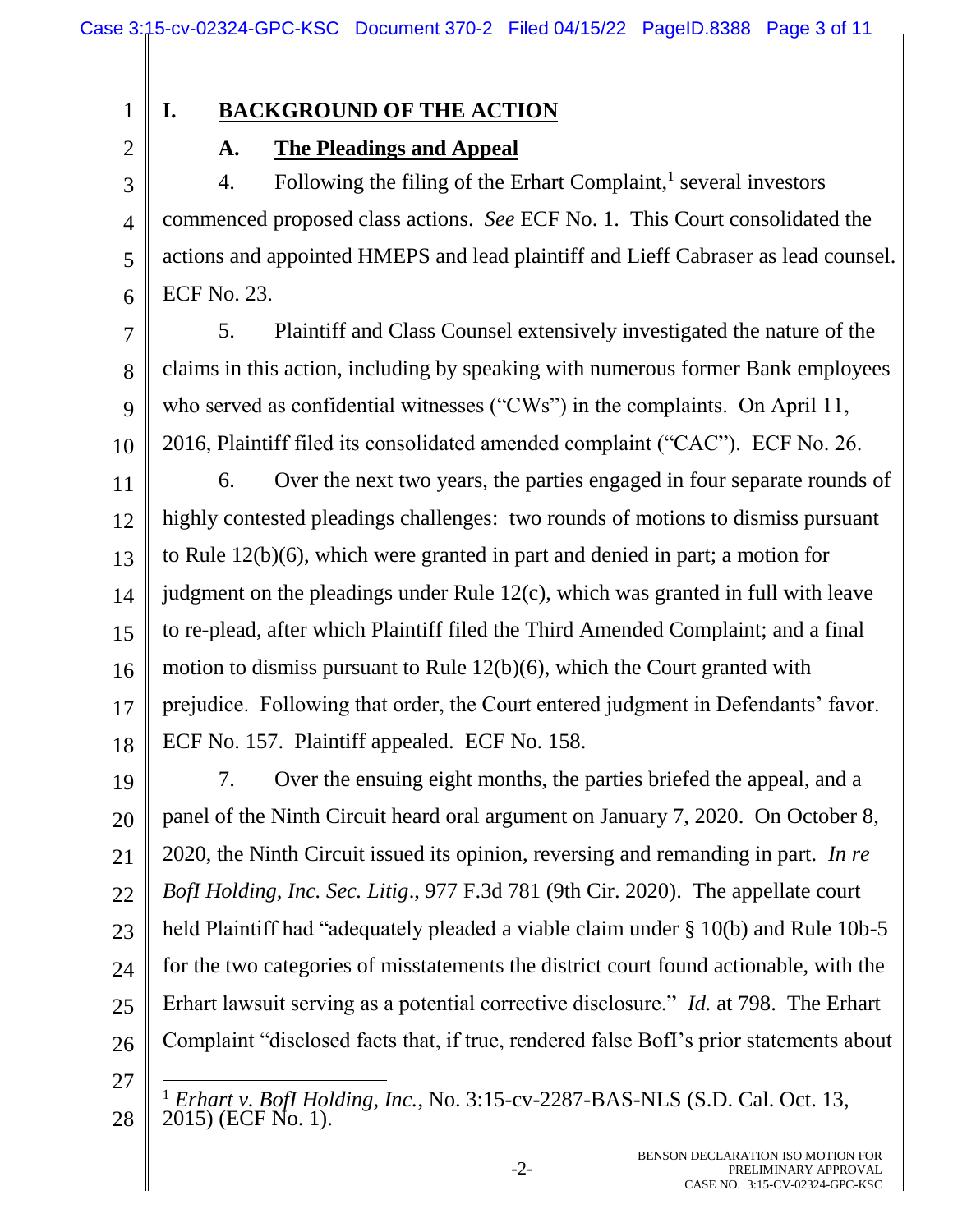# **I. BACKGROUND OF THE ACTION**

## **A. The Pleadings and Appeal**

3 4 5 6 4. Following the filing of the Erhart Complaint, $\frac{1}{1}$  several investors commenced proposed class actions. *See* ECF No. 1. This Court consolidated the actions and appointed HMEPS and lead plaintiff and Lieff Cabraser as lead counsel. ECF No. 23.

7 8 9 10 5. Plaintiff and Class Counsel extensively investigated the nature of the claims in this action, including by speaking with numerous former Bank employees who served as confidential witnesses ("CWs") in the complaints. On April 11, 2016, Plaintiff filed its consolidated amended complaint ("CAC"). ECF No. 26.

11 12 13 14 15 16 17 18 6. Over the next two years, the parties engaged in four separate rounds of highly contested pleadings challenges: two rounds of motions to dismiss pursuant to Rule 12(b)(6), which were granted in part and denied in part; a motion for judgment on the pleadings under Rule 12(c), which was granted in full with leave to re-plead, after which Plaintiff filed the Third Amended Complaint; and a final motion to dismiss pursuant to Rule 12(b)(6), which the Court granted with prejudice. Following that order, the Court entered judgment in Defendants' favor. ECF No. 157. Plaintiff appealed. ECF No. 158.

19 20 21 22 23 24 25 26 7. Over the ensuing eight months, the parties briefed the appeal, and a panel of the Ninth Circuit heard oral argument on January 7, 2020. On October 8, 2020, the Ninth Circuit issued its opinion, reversing and remanding in part. *In re BofI Holding, Inc. Sec. Litig*., 977 F.3d 781 (9th Cir. 2020). The appellate court held Plaintiff had "adequately pleaded a viable claim under § 10(b) and Rule 10b-5 for the two categories of misstatements the district court found actionable, with the Erhart lawsuit serving as a potential corrective disclosure." *Id.* at 798. The Erhart Complaint "disclosed facts that, if true, rendered false BofI's prior statements about

27

<sup>28</sup>  $\overline{a}$ <sup>1</sup> *Erhart v. BofI Holding, Inc.*, No. 3:15-cv-2287-BAS-NLS (S.D. Cal. Oct. 13, 2015) (ECF No. 1).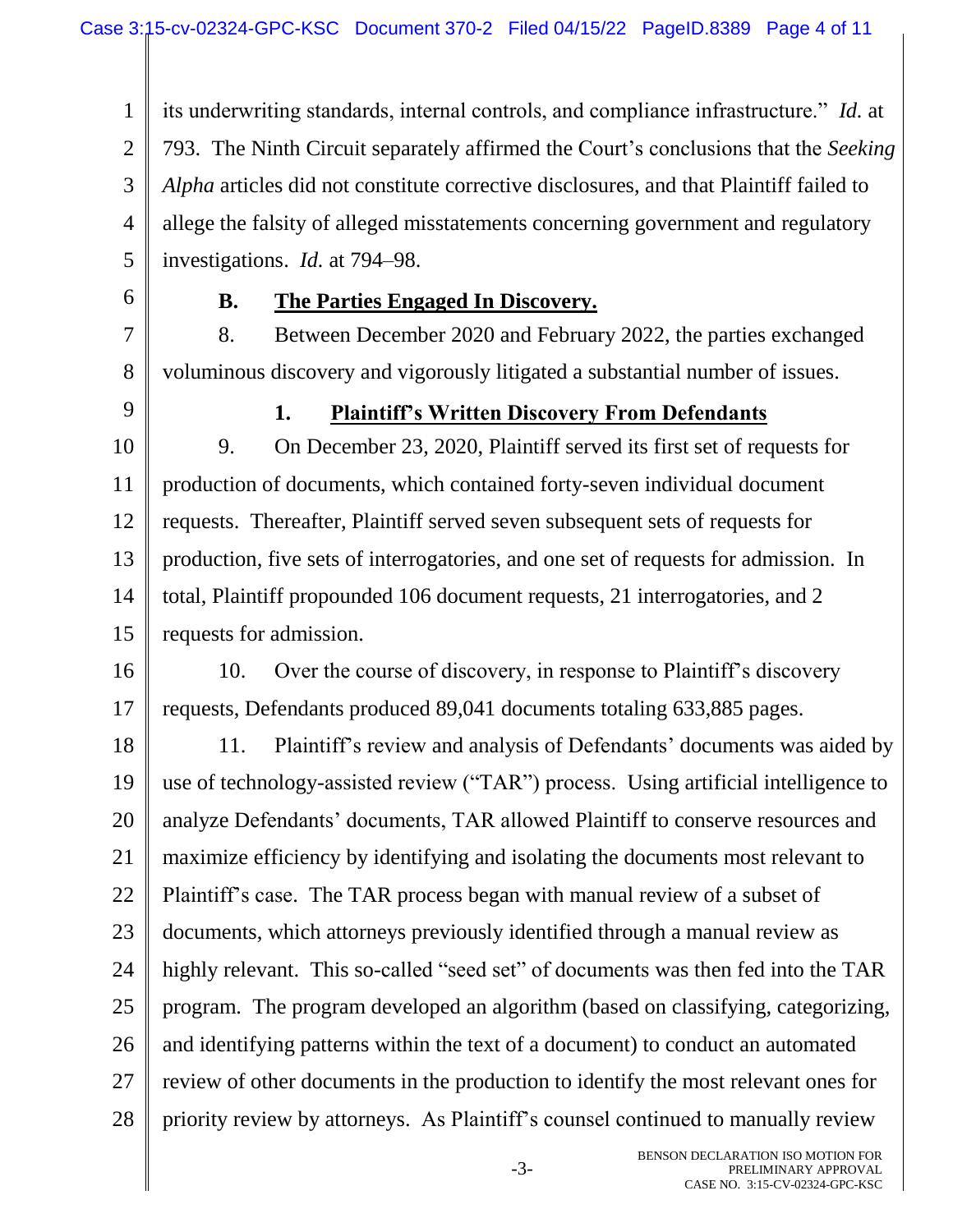1 2 3 4 5 its underwriting standards, internal controls, and compliance infrastructure." *Id.* at 793. The Ninth Circuit separately affirmed the Court's conclusions that the *Seeking Alpha* articles did not constitute corrective disclosures, and that Plaintiff failed to allege the falsity of alleged misstatements concerning government and regulatory investigations. *Id.* at 794–98.

6

## **B. The Parties Engaged In Discovery.**

7 8 8. Between December 2020 and February 2022, the parties exchanged voluminous discovery and vigorously litigated a substantial number of issues.

9

#### **1. Plaintiff's Written Discovery From Defendants**

10 11 12 13 14 15 9. On December 23, 2020, Plaintiff served its first set of requests for production of documents, which contained forty-seven individual document requests. Thereafter, Plaintiff served seven subsequent sets of requests for production, five sets of interrogatories, and one set of requests for admission. In total, Plaintiff propounded 106 document requests, 21 interrogatories, and 2 requests for admission.

16 17 10. Over the course of discovery, in response to Plaintiff's discovery requests, Defendants produced 89,041 documents totaling 633,885 pages.

18 19 20 21 22 23 24 25 26 27 28 11. Plaintiff's review and analysis of Defendants' documents was aided by use of technology-assisted review ("TAR") process. Using artificial intelligence to analyze Defendants' documents, TAR allowed Plaintiff to conserve resources and maximize efficiency by identifying and isolating the documents most relevant to Plaintiff's case. The TAR process began with manual review of a subset of documents, which attorneys previously identified through a manual review as highly relevant. This so-called "seed set" of documents was then fed into the TAR program. The program developed an algorithm (based on classifying, categorizing, and identifying patterns within the text of a document) to conduct an automated review of other documents in the production to identify the most relevant ones for priority review by attorneys. As Plaintiff's counsel continued to manually review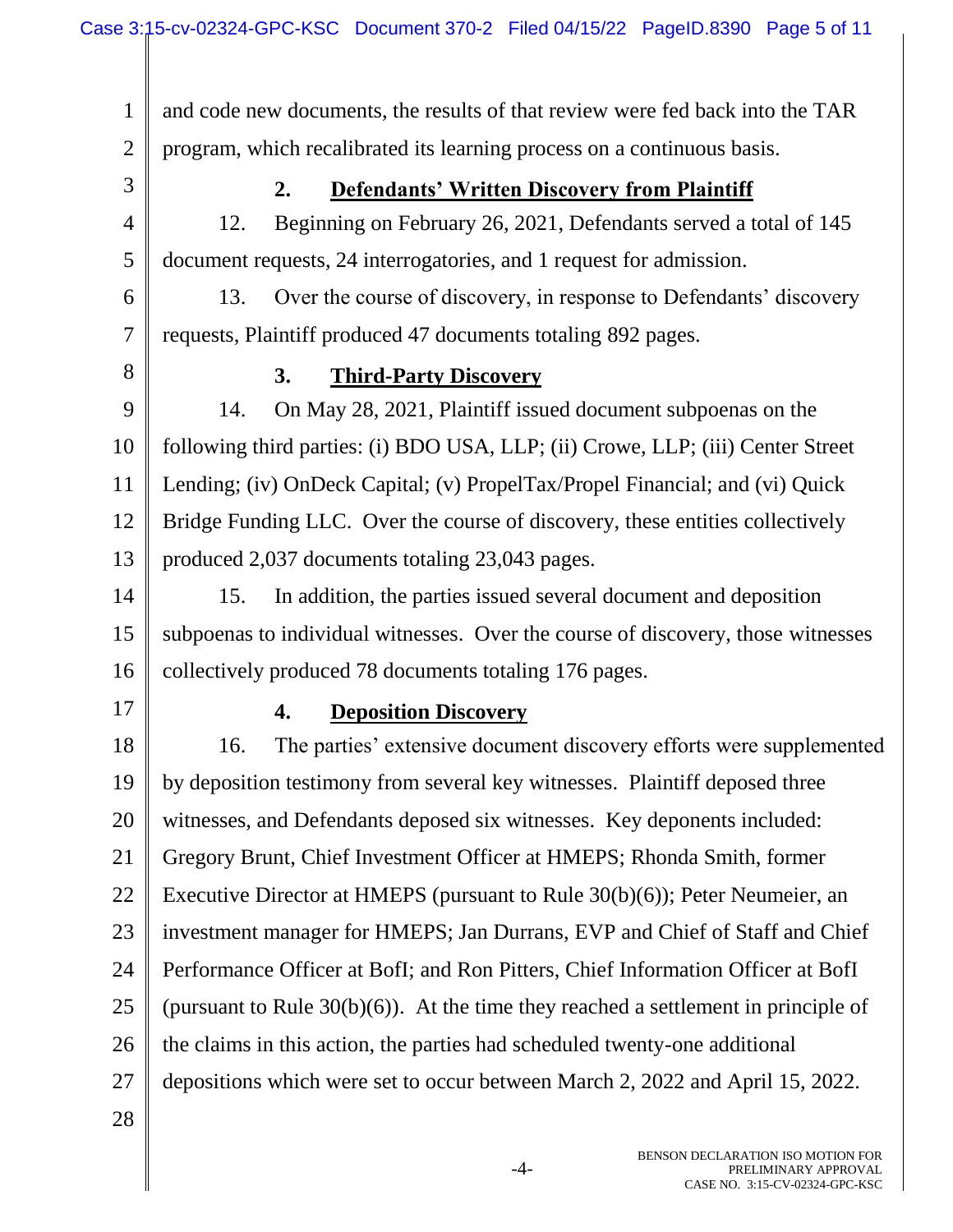1 2 3 4 5 6 7 8 9 10 11 12 13 14 15 16 17 18 19 20 21 22 23 24 25 26 27 28 and code new documents, the results of that review were fed back into the TAR program, which recalibrated its learning process on a continuous basis. **2. Defendants' Written Discovery from Plaintiff** 12. Beginning on February 26, 2021, Defendants served a total of 145 document requests, 24 interrogatories, and 1 request for admission. 13. Over the course of discovery, in response to Defendants' discovery requests, Plaintiff produced 47 documents totaling 892 pages. **3. Third-Party Discovery** 14. On May 28, 2021, Plaintiff issued document subpoenas on the following third parties: (i) BDO USA, LLP; (ii) Crowe, LLP; (iii) Center Street Lending; (iv) OnDeck Capital; (v) PropelTax/Propel Financial; and (vi) Quick Bridge Funding LLC. Over the course of discovery, these entities collectively produced 2,037 documents totaling 23,043 pages. 15. In addition, the parties issued several document and deposition subpoenas to individual witnesses. Over the course of discovery, those witnesses collectively produced 78 documents totaling 176 pages. **4. Deposition Discovery** 16. The parties' extensive document discovery efforts were supplemented by deposition testimony from several key witnesses. Plaintiff deposed three witnesses, and Defendants deposed six witnesses. Key deponents included: Gregory Brunt, Chief Investment Officer at HMEPS; Rhonda Smith, former Executive Director at HMEPS (pursuant to Rule 30(b)(6)); Peter Neumeier, an investment manager for HMEPS; Jan Durrans, EVP and Chief of Staff and Chief Performance Officer at BofI; and Ron Pitters, Chief Information Officer at BofI (pursuant to Rule 30(b)(6)). At the time they reached a settlement in principle of the claims in this action, the parties had scheduled twenty-one additional depositions which were set to occur between March 2, 2022 and April 15, 2022.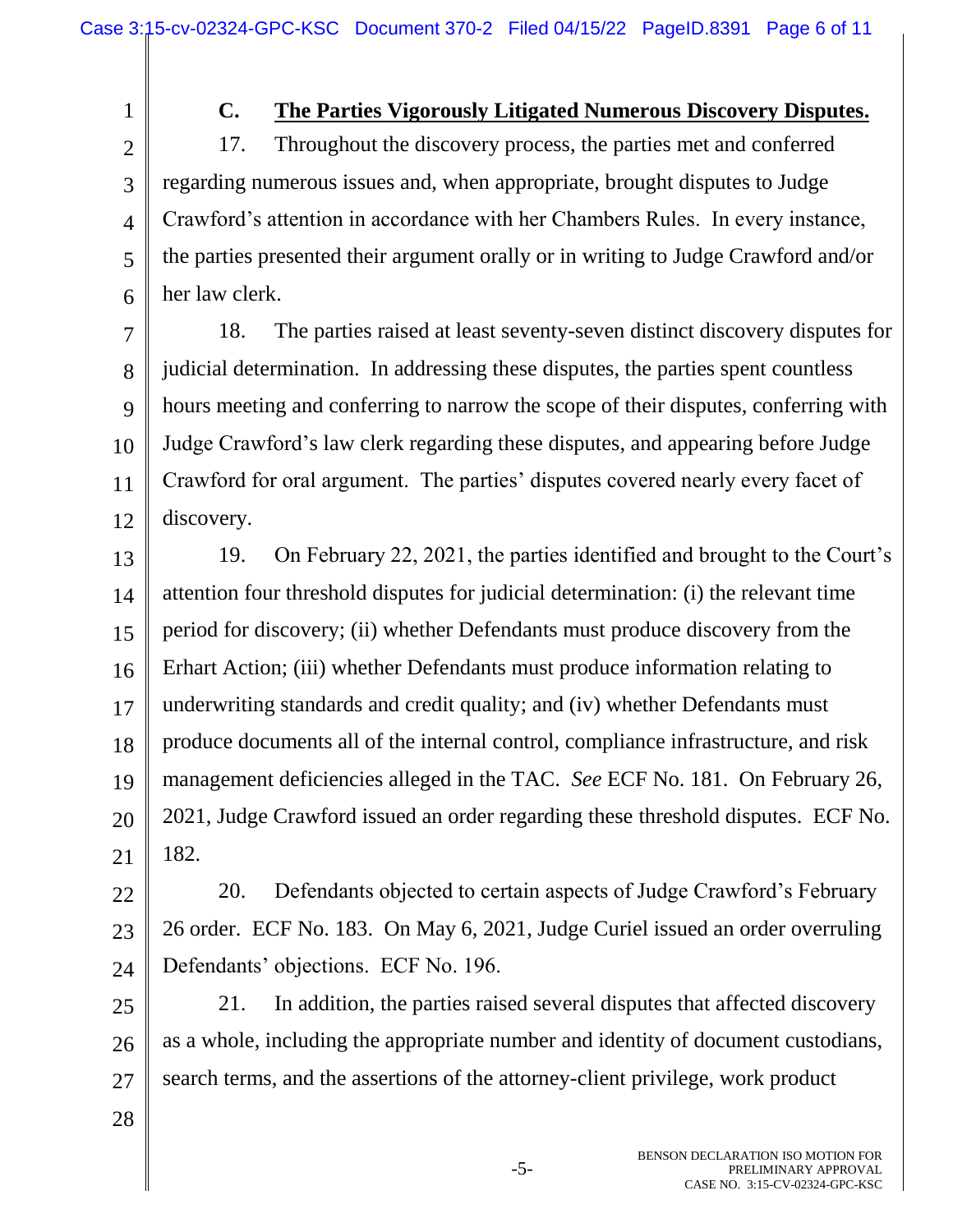## **C. The Parties Vigorously Litigated Numerous Discovery Disputes.**

2 3 4 5 6 17. Throughout the discovery process, the parties met and conferred regarding numerous issues and, when appropriate, brought disputes to Judge Crawford's attention in accordance with her Chambers Rules. In every instance, the parties presented their argument orally or in writing to Judge Crawford and/or her law clerk.

7 8 9 10 11 12 18. The parties raised at least seventy-seven distinct discovery disputes for judicial determination. In addressing these disputes, the parties spent countless hours meeting and conferring to narrow the scope of their disputes, conferring with Judge Crawford's law clerk regarding these disputes, and appearing before Judge Crawford for oral argument. The parties' disputes covered nearly every facet of discovery.

13 14 15 16 17 18 19 20 21 19. On February 22, 2021, the parties identified and brought to the Court's attention four threshold disputes for judicial determination: (i) the relevant time period for discovery; (ii) whether Defendants must produce discovery from the Erhart Action; (iii) whether Defendants must produce information relating to underwriting standards and credit quality; and (iv) whether Defendants must produce documents all of the internal control, compliance infrastructure, and risk management deficiencies alleged in the TAC. *See* ECF No. 181. On February 26, 2021, Judge Crawford issued an order regarding these threshold disputes. ECF No. 182.

22 23 24 20. Defendants objected to certain aspects of Judge Crawford's February 26 order. ECF No. 183. On May 6, 2021, Judge Curiel issued an order overruling Defendants' objections. ECF No. 196.

25 26 27 21. In addition, the parties raised several disputes that affected discovery as a whole, including the appropriate number and identity of document custodians, search terms, and the assertions of the attorney-client privilege, work product

28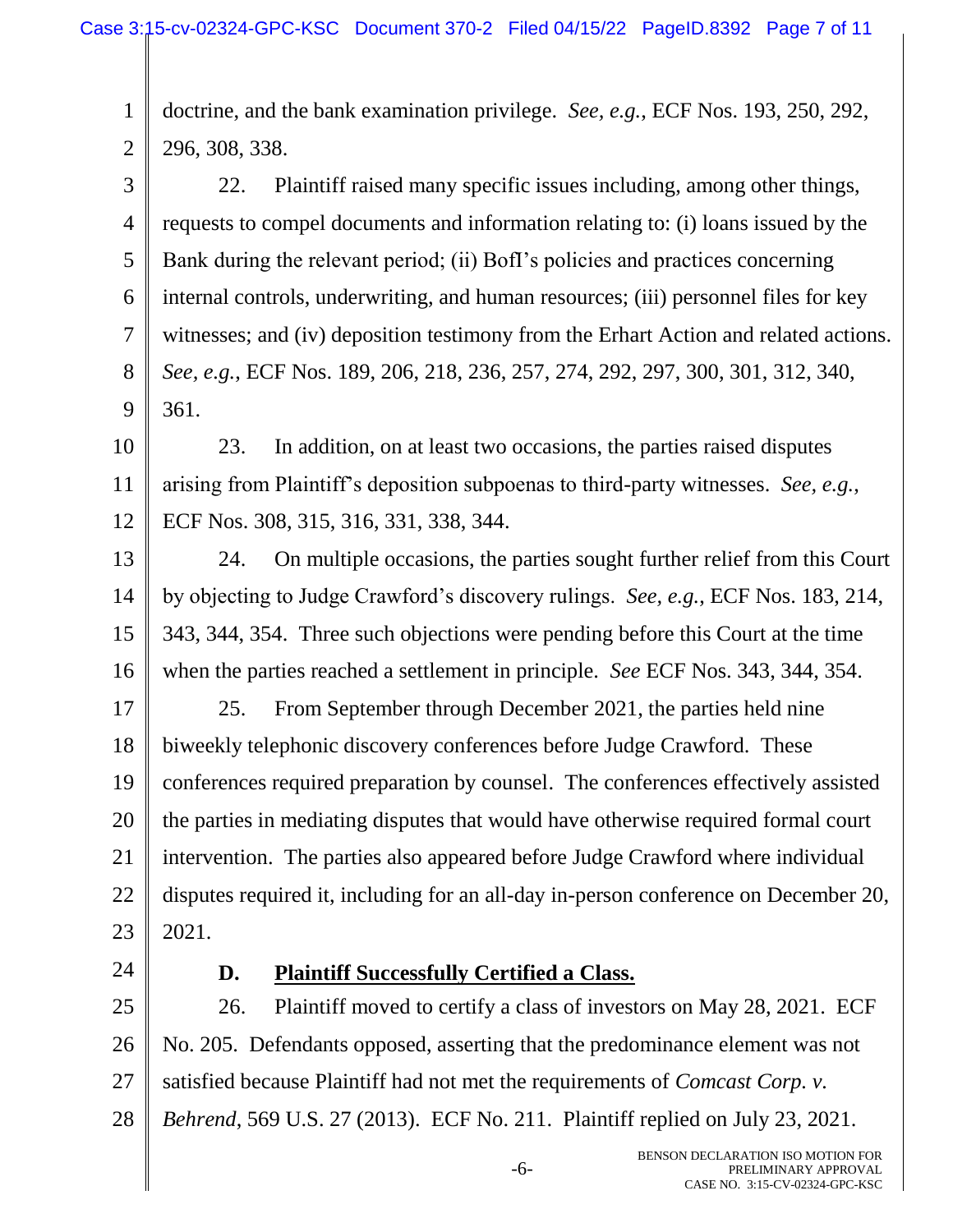1 2 doctrine, and the bank examination privilege. *See, e.g.*, ECF Nos. 193, 250, 292, 296, 308, 338.

3 4 5 6 7 8 9 22. Plaintiff raised many specific issues including, among other things, requests to compel documents and information relating to: (i) loans issued by the Bank during the relevant period; (ii) BofI's policies and practices concerning internal controls, underwriting, and human resources; (iii) personnel files for key witnesses; and (iv) deposition testimony from the Erhart Action and related actions. *See, e.g.*, ECF Nos. 189, 206, 218, 236, 257, 274, 292, 297, 300, 301, 312, 340, 361.

10 11 12 23. In addition, on at least two occasions, the parties raised disputes arising from Plaintiff's deposition subpoenas to third-party witnesses. *See, e.g.*, ECF Nos. 308, 315, 316, 331, 338, 344.

13 14 15 16 24. On multiple occasions, the parties sought further relief from this Court by objecting to Judge Crawford's discovery rulings. *See, e.g.*, ECF Nos. 183, 214, 343, 344, 354. Three such objections were pending before this Court at the time when the parties reached a settlement in principle. *See* ECF Nos. 343, 344, 354.

17 18 19 20 21 22 23 25. From September through December 2021, the parties held nine biweekly telephonic discovery conferences before Judge Crawford. These conferences required preparation by counsel. The conferences effectively assisted the parties in mediating disputes that would have otherwise required formal court intervention. The parties also appeared before Judge Crawford where individual disputes required it, including for an all-day in-person conference on December 20, 2021.

24

### **D. Plaintiff Successfully Certified a Class.**

25 26 27 28 26. Plaintiff moved to certify a class of investors on May 28, 2021. ECF No. 205. Defendants opposed, asserting that the predominance element was not satisfied because Plaintiff had not met the requirements of *Comcast Corp. v. Behrend*, 569 U.S. 27 (2013). ECF No. 211. Plaintiff replied on July 23, 2021.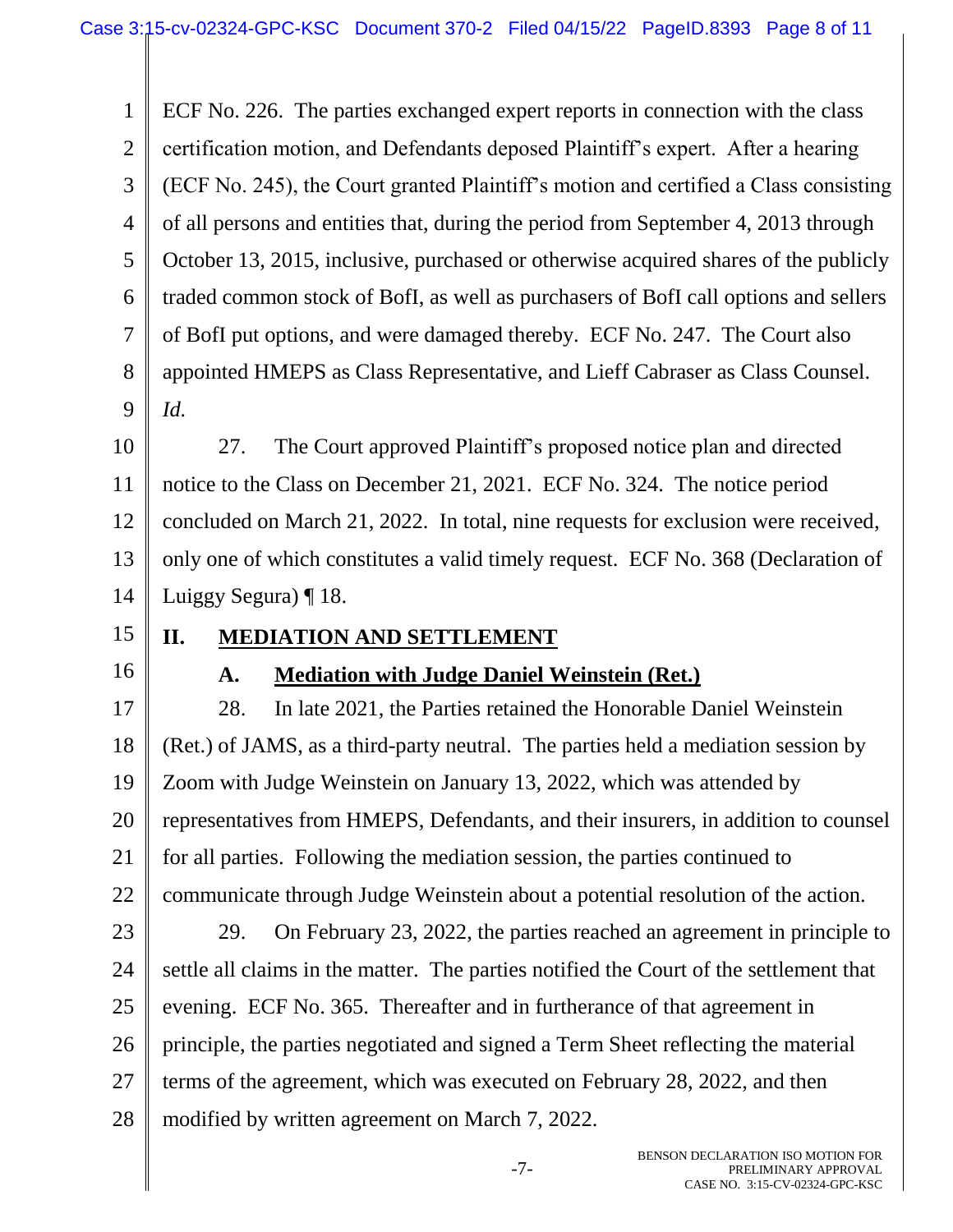1 2 3 4 5 6 7 8 9 ECF No. 226. The parties exchanged expert reports in connection with the class certification motion, and Defendants deposed Plaintiff's expert. After a hearing (ECF No. 245), the Court granted Plaintiff's motion and certified a Class consisting of all persons and entities that, during the period from September 4, 2013 through October 13, 2015, inclusive, purchased or otherwise acquired shares of the publicly traded common stock of BofI, as well as purchasers of BofI call options and sellers of BofI put options, and were damaged thereby. ECF No. 247. The Court also appointed HMEPS as Class Representative, and Lieff Cabraser as Class Counsel. *Id.*

10 11 12 13 14 27. The Court approved Plaintiff's proposed notice plan and directed notice to the Class on December 21, 2021. ECF No. 324. The notice period concluded on March 21, 2022. In total, nine requests for exclusion were received, only one of which constitutes a valid timely request. ECF No. 368 (Declaration of Luiggy Segura) ¶ 18.

- 15
- **II. MEDIATION AND SETTLEMENT**
- 16

### **A. Mediation with Judge Daniel Weinstein (Ret.)**

17 18 19 20 21 22 28. In late 2021, the Parties retained the Honorable Daniel Weinstein (Ret.) of JAMS, as a third-party neutral. The parties held a mediation session by Zoom with Judge Weinstein on January 13, 2022, which was attended by representatives from HMEPS, Defendants, and their insurers, in addition to counsel for all parties. Following the mediation session, the parties continued to communicate through Judge Weinstein about a potential resolution of the action.

23 24 25 26 27 28 29. On February 23, 2022, the parties reached an agreement in principle to settle all claims in the matter. The parties notified the Court of the settlement that evening. ECF No. 365. Thereafter and in furtherance of that agreement in principle, the parties negotiated and signed a Term Sheet reflecting the material terms of the agreement, which was executed on February 28, 2022, and then modified by written agreement on March 7, 2022.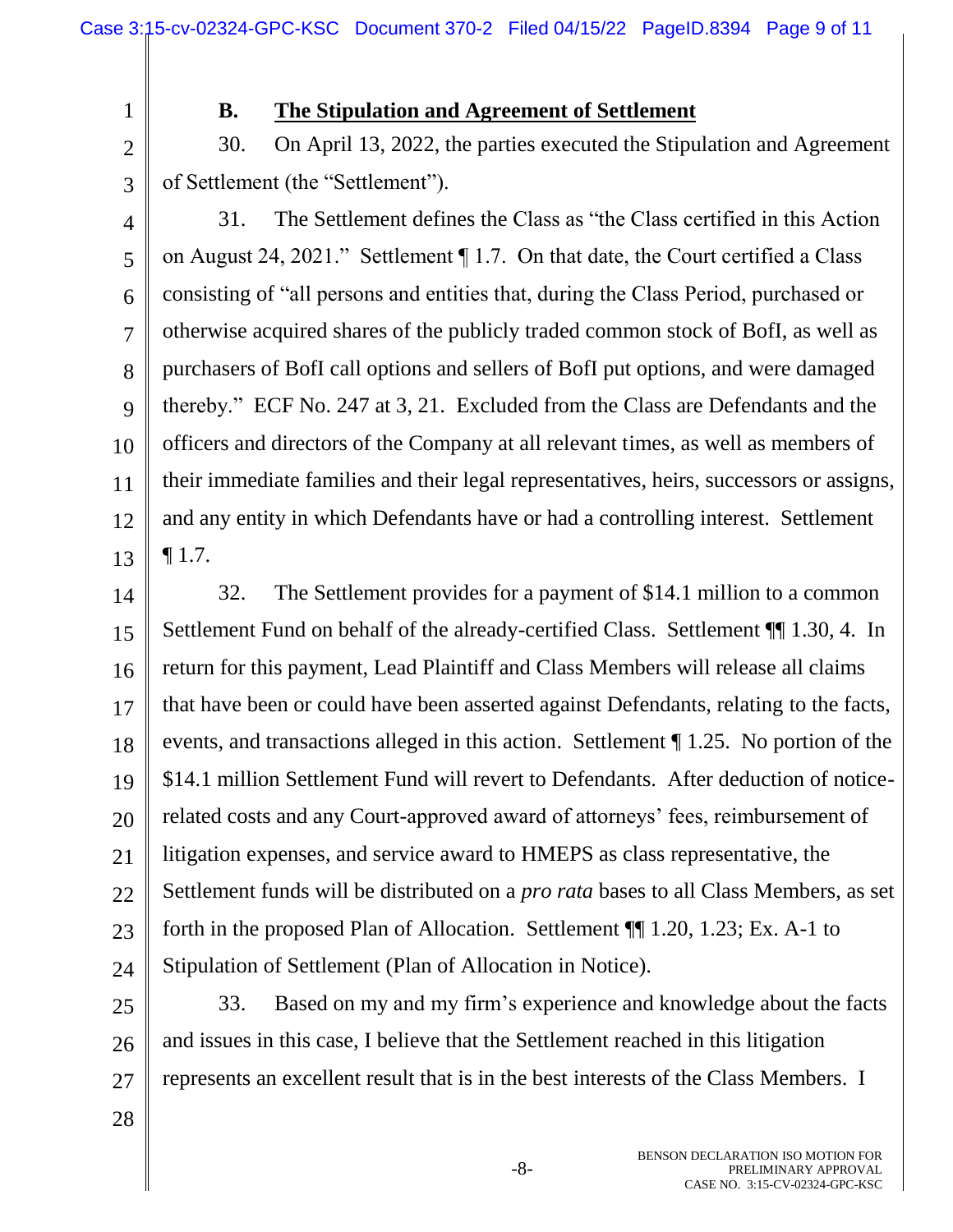3

#### **B. The Stipulation and Agreement of Settlement**

30. On April 13, 2022, the parties executed the Stipulation and Agreement of Settlement (the "Settlement").

4 5 6 7 8 9 10 11 12 13 31. The Settlement defines the Class as "the Class certified in this Action on August 24, 2021." Settlement ¶ 1.7. On that date, the Court certified a Class consisting of "all persons and entities that, during the Class Period, purchased or otherwise acquired shares of the publicly traded common stock of BofI, as well as purchasers of BofI call options and sellers of BofI put options, and were damaged thereby." ECF No. 247 at 3, 21. Excluded from the Class are Defendants and the officers and directors of the Company at all relevant times, as well as members of their immediate families and their legal representatives, heirs, successors or assigns, and any entity in which Defendants have or had a controlling interest. Settlement  $\P$  1.7.

14

15 16 17 18 19 20 21 22 23 24 32. The Settlement provides for a payment of \$14.1 million to a common Settlement Fund on behalf of the already-certified Class. Settlement ¶¶ 1.30, 4. In return for this payment, Lead Plaintiff and Class Members will release all claims that have been or could have been asserted against Defendants, relating to the facts, events, and transactions alleged in this action. Settlement ¶ 1.25. No portion of the \$14.1 million Settlement Fund will revert to Defendants. After deduction of noticerelated costs and any Court-approved award of attorneys' fees, reimbursement of litigation expenses, and service award to HMEPS as class representative, the Settlement funds will be distributed on a *pro rata* bases to all Class Members, as set forth in the proposed Plan of Allocation. Settlement ¶¶ 1.20, 1.23; Ex. A-1 to Stipulation of Settlement (Plan of Allocation in Notice).

25 26 27 33. Based on my and my firm's experience and knowledge about the facts and issues in this case, I believe that the Settlement reached in this litigation represents an excellent result that is in the best interests of the Class Members. I

28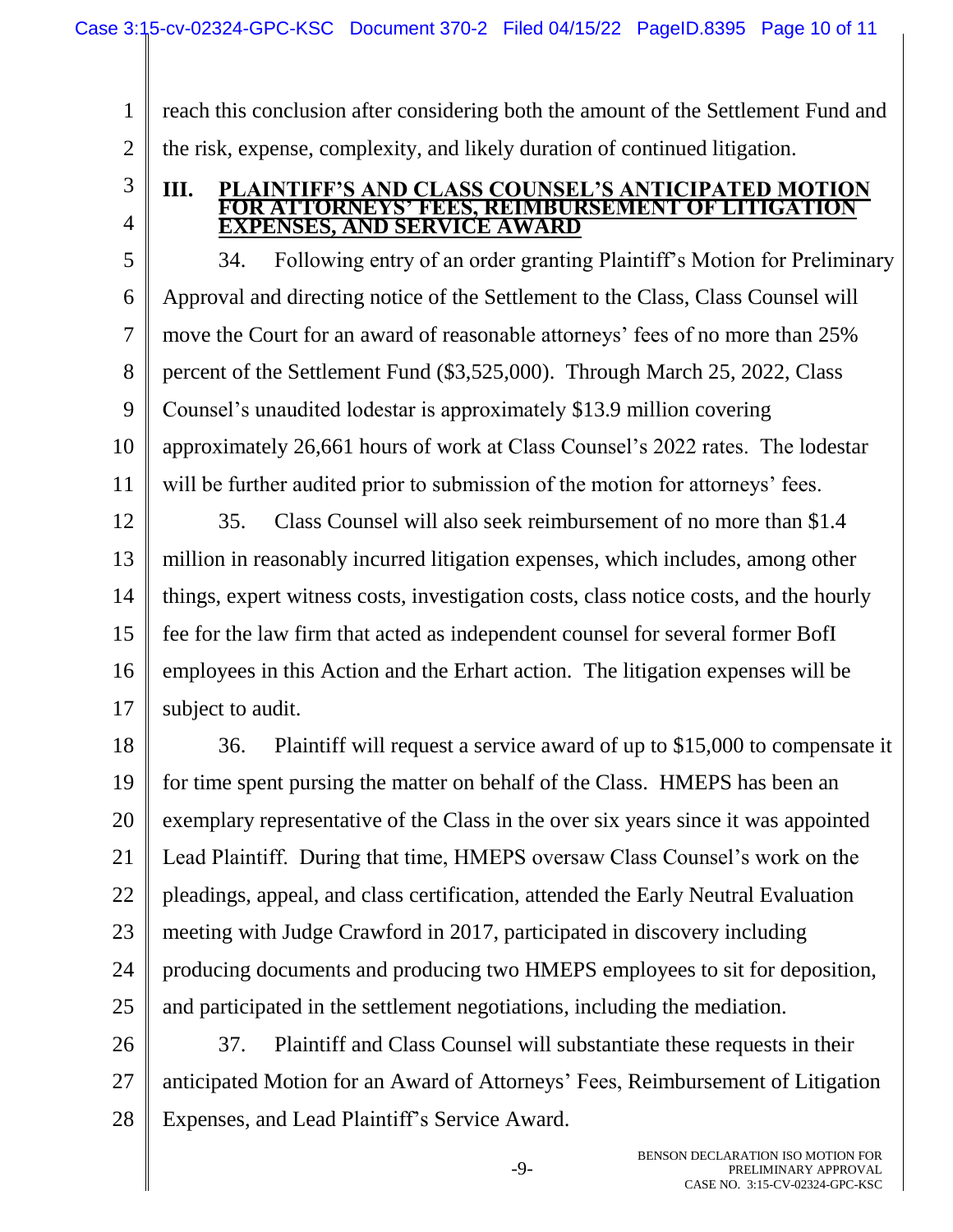1 2 reach this conclusion after considering both the amount of the Settlement Fund and the risk, expense, complexity, and likely duration of continued litigation.

3 4

#### **III. PLAINTIFF'S AND CLASS COUNSEL'S ANTICIPATED MOTION FOR ATTORNEYS' FEES, REIMBURSEMENT OF LITIGATION EXPENSES, AND SERVICE AWARD**

5 6 7 8 9 10 11 34. Following entry of an order granting Plaintiff's Motion for Preliminary Approval and directing notice of the Settlement to the Class, Class Counsel will move the Court for an award of reasonable attorneys' fees of no more than 25% percent of the Settlement Fund (\$3,525,000). Through March 25, 2022, Class Counsel's unaudited lodestar is approximately \$13.9 million covering approximately 26,661 hours of work at Class Counsel's 2022 rates. The lodestar will be further audited prior to submission of the motion for attorneys' fees.

12 13 14 15 16 17 35. Class Counsel will also seek reimbursement of no more than \$1.4 million in reasonably incurred litigation expenses, which includes, among other things, expert witness costs, investigation costs, class notice costs, and the hourly fee for the law firm that acted as independent counsel for several former BofI employees in this Action and the Erhart action. The litigation expenses will be subject to audit.

18 19 20 21 22 23 24 25 36. Plaintiff will request a service award of up to \$15,000 to compensate it for time spent pursing the matter on behalf of the Class. HMEPS has been an exemplary representative of the Class in the over six years since it was appointed Lead Plaintiff. During that time, HMEPS oversaw Class Counsel's work on the pleadings, appeal, and class certification, attended the Early Neutral Evaluation meeting with Judge Crawford in 2017, participated in discovery including producing documents and producing two HMEPS employees to sit for deposition, and participated in the settlement negotiations, including the mediation.

26 27 28 37. Plaintiff and Class Counsel will substantiate these requests in their anticipated Motion for an Award of Attorneys' Fees, Reimbursement of Litigation Expenses, and Lead Plaintiff's Service Award.